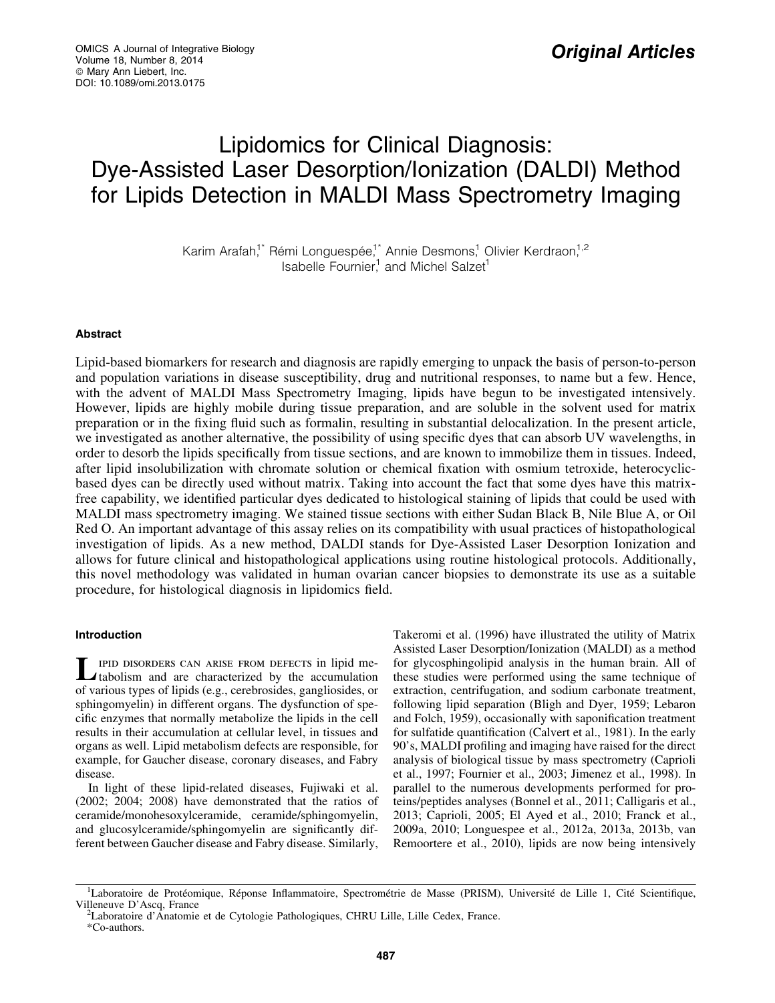# Lipidomics for Clinical Diagnosis: Dye-Assisted Laser Desorption/Ionization (DALDI) Method for Lipids Detection in MALDI Mass Spectrometry Imaging

Karim Arafah,<sup>1\*</sup> Rémi Longuespée,<sup>1\*</sup> Annie Desmons,<sup>1</sup> Olivier Kerdraon,<sup>1,2</sup> Isabelle Fournier,<sup>1</sup> and Michel Salzet<sup>1</sup>

# Abstract

Lipid-based biomarkers for research and diagnosis are rapidly emerging to unpack the basis of person-to-person and population variations in disease susceptibility, drug and nutritional responses, to name but a few. Hence, with the advent of MALDI Mass Spectrometry Imaging, lipids have begun to be investigated intensively. However, lipids are highly mobile during tissue preparation, and are soluble in the solvent used for matrix preparation or in the fixing fluid such as formalin, resulting in substantial delocalization. In the present article, we investigated as another alternative, the possibility of using specific dyes that can absorb UV wavelengths, in order to desorb the lipids specifically from tissue sections, and are known to immobilize them in tissues. Indeed, after lipid insolubilization with chromate solution or chemical fixation with osmium tetroxide, heterocyclicbased dyes can be directly used without matrix. Taking into account the fact that some dyes have this matrixfree capability, we identified particular dyes dedicated to histological staining of lipids that could be used with MALDI mass spectrometry imaging. We stained tissue sections with either Sudan Black B, Nile Blue A, or Oil Red O. An important advantage of this assay relies on its compatibility with usual practices of histopathological investigation of lipids. As a new method, DALDI stands for Dye-Assisted Laser Desorption Ionization and allows for future clinical and histopathological applications using routine histological protocols. Additionally, this novel methodology was validated in human ovarian cancer biopsies to demonstrate its use as a suitable procedure, for histological diagnosis in lipidomics field.

# Introduction

**LET IPID DISORDERS CAN ARISE FROM DEFECTS in lipid me-**<br>tabolism and are characterized by the accumulation of various types of lipids (e.g., cerebrosides, gangliosides, or sphingomyelin) in different organs. The dysfunction of specific enzymes that normally metabolize the lipids in the cell results in their accumulation at cellular level, in tissues and organs as well. Lipid metabolism defects are responsible, for example, for Gaucher disease, coronary diseases, and Fabry disease.

In light of these lipid-related diseases, Fujiwaki et al. (2002; 2004; 2008) have demonstrated that the ratios of ceramide/monohesoxylceramide, ceramide/sphingomyelin, and glucosylceramide/sphingomyelin are significantly different between Gaucher disease and Fabry disease. Similarly, Takeromi et al. (1996) have illustrated the utility of Matrix Assisted Laser Desorption/Ionization (MALDI) as a method for glycosphingolipid analysis in the human brain. All of these studies were performed using the same technique of extraction, centrifugation, and sodium carbonate treatment, following lipid separation (Bligh and Dyer, 1959; Lebaron and Folch, 1959), occasionally with saponification treatment for sulfatide quantification (Calvert et al., 1981). In the early 90's, MALDI profiling and imaging have raised for the direct analysis of biological tissue by mass spectrometry (Caprioli et al., 1997; Fournier et al., 2003; Jimenez et al., 1998). In parallel to the numerous developments performed for proteins/peptides analyses (Bonnel et al., 2011; Calligaris et al., 2013; Caprioli, 2005; El Ayed et al., 2010; Franck et al., 2009a, 2010; Longuespee et al., 2012a, 2013a, 2013b, van Remoortere et al., 2010), lipids are now being intensively

<sup>&</sup>lt;sup>1</sup>Laboratoire de Protéomique, Réponse Inflammatoire, Spectrométrie de Masse (PRISM), Université de Lille 1, Cité Scientifique, Villeneuve D'Ascq, France

Laboratoire d'Anatomie et de Cytologie Pathologiques, CHRU Lille, Lille Cedex, France. \*Co-authors.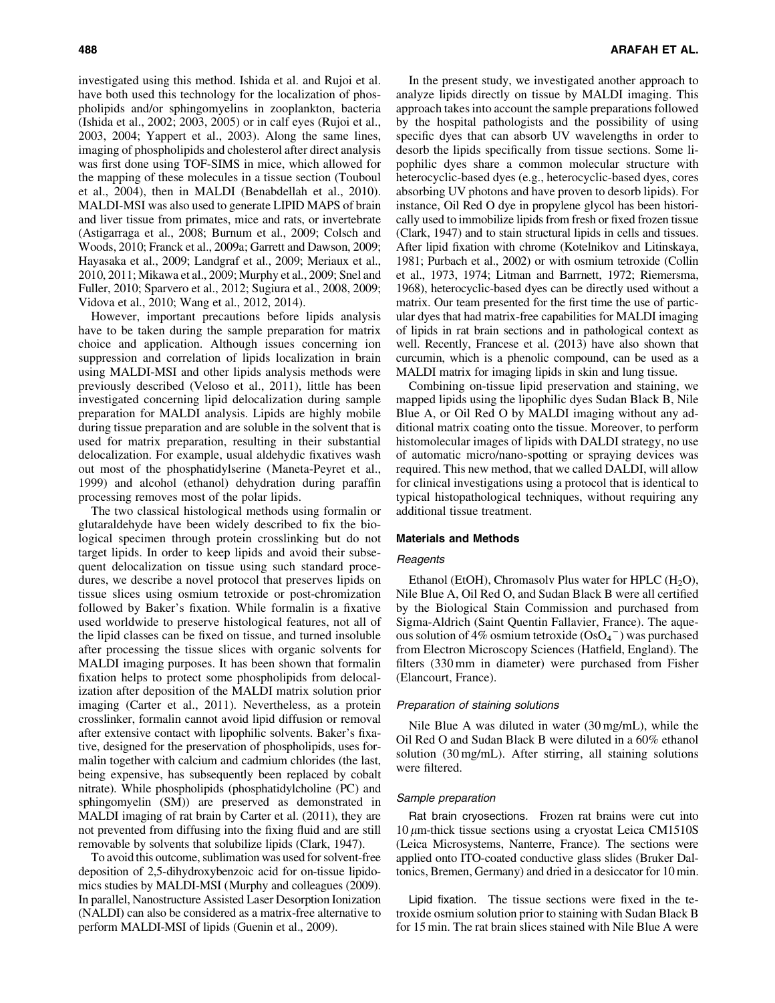investigated using this method. Ishida et al. and Rujoi et al. have both used this technology for the localization of phospholipids and/or sphingomyelins in zooplankton, bacteria (Ishida et al., 2002; 2003, 2005) or in calf eyes (Rujoi et al., 2003, 2004; Yappert et al., 2003). Along the same lines, imaging of phospholipids and cholesterol after direct analysis was first done using TOF-SIMS in mice, which allowed for the mapping of these molecules in a tissue section (Touboul et al., 2004), then in MALDI (Benabdellah et al., 2010). MALDI-MSI was also used to generate LIPID MAPS of brain and liver tissue from primates, mice and rats, or invertebrate (Astigarraga et al., 2008; Burnum et al., 2009; Colsch and Woods, 2010; Franck et al., 2009a; Garrett and Dawson, 2009; Hayasaka et al., 2009; Landgraf et al., 2009; Meriaux et al., 2010, 2011; Mikawa et al., 2009; Murphy et al., 2009; Snel and Fuller, 2010; Sparvero et al., 2012; Sugiura et al., 2008, 2009; Vidova et al., 2010; Wang et al., 2012, 2014).

However, important precautions before lipids analysis have to be taken during the sample preparation for matrix choice and application. Although issues concerning ion suppression and correlation of lipids localization in brain using MALDI-MSI and other lipids analysis methods were previously described (Veloso et al., 2011), little has been investigated concerning lipid delocalization during sample preparation for MALDI analysis. Lipids are highly mobile during tissue preparation and are soluble in the solvent that is used for matrix preparation, resulting in their substantial delocalization. For example, usual aldehydic fixatives wash out most of the phosphatidylserine (Maneta-Peyret et al., 1999) and alcohol (ethanol) dehydration during paraffin processing removes most of the polar lipids.

The two classical histological methods using formalin or glutaraldehyde have been widely described to fix the biological specimen through protein crosslinking but do not target lipids. In order to keep lipids and avoid their subsequent delocalization on tissue using such standard procedures, we describe a novel protocol that preserves lipids on tissue slices using osmium tetroxide or post-chromization followed by Baker's fixation. While formalin is a fixative used worldwide to preserve histological features, not all of the lipid classes can be fixed on tissue, and turned insoluble after processing the tissue slices with organic solvents for MALDI imaging purposes. It has been shown that formalin fixation helps to protect some phospholipids from delocalization after deposition of the MALDI matrix solution prior imaging (Carter et al., 2011). Nevertheless, as a protein crosslinker, formalin cannot avoid lipid diffusion or removal after extensive contact with lipophilic solvents. Baker's fixative, designed for the preservation of phospholipids, uses formalin together with calcium and cadmium chlorides (the last, being expensive, has subsequently been replaced by cobalt nitrate). While phospholipids (phosphatidylcholine (PC) and sphingomyelin (SM)) are preserved as demonstrated in MALDI imaging of rat brain by Carter et al. (2011), they are not prevented from diffusing into the fixing fluid and are still removable by solvents that solubilize lipids (Clark, 1947).

To avoid this outcome, sublimation was used for solvent-free deposition of 2,5-dihydroxybenzoic acid for on-tissue lipidomics studies by MALDI-MSI (Murphy and colleagues (2009). In parallel, Nanostructure Assisted Laser Desorption Ionization (NALDI) can also be considered as a matrix-free alternative to perform MALDI-MSI of lipids (Guenin et al., 2009).

In the present study, we investigated another approach to analyze lipids directly on tissue by MALDI imaging. This approach takes into account the sample preparations followed by the hospital pathologists and the possibility of using specific dyes that can absorb UV wavelengths in order to desorb the lipids specifically from tissue sections. Some lipophilic dyes share a common molecular structure with heterocyclic-based dyes (e.g., heterocyclic-based dyes, cores absorbing UV photons and have proven to desorb lipids). For instance, Oil Red O dye in propylene glycol has been historically used to immobilize lipids from fresh or fixed frozen tissue (Clark, 1947) and to stain structural lipids in cells and tissues. After lipid fixation with chrome (Kotelnikov and Litinskaya, 1981; Purbach et al., 2002) or with osmium tetroxide (Collin et al., 1973, 1974; Litman and Barrnett, 1972; Riemersma, 1968), heterocyclic-based dyes can be directly used without a matrix. Our team presented for the first time the use of particular dyes that had matrix-free capabilities for MALDI imaging of lipids in rat brain sections and in pathological context as well. Recently, Francese et al. (2013) have also shown that curcumin, which is a phenolic compound, can be used as a MALDI matrix for imaging lipids in skin and lung tissue.

Combining on-tissue lipid preservation and staining, we mapped lipids using the lipophilic dyes Sudan Black B, Nile Blue A, or Oil Red O by MALDI imaging without any additional matrix coating onto the tissue. Moreover, to perform histomolecular images of lipids with DALDI strategy, no use of automatic micro/nano-spotting or spraying devices was required. This new method, that we called DALDI, will allow for clinical investigations using a protocol that is identical to typical histopathological techniques, without requiring any additional tissue treatment.

#### Materials and Methods

#### **Reagents**

Ethanol (EtOH), Chromasolv Plus water for HPLC  $(H<sub>2</sub>O)$ , Nile Blue A, Oil Red O, and Sudan Black B were all certified by the Biological Stain Commission and purchased from Sigma-Aldrich (Saint Quentin Fallavier, France). The aqueous solution of  $4\%$  osmium tetroxide  $(OsO<sub>4</sub><sup>-</sup>)$  was purchased from Electron Microscopy Sciences (Hatfield, England). The filters (330 mm in diameter) were purchased from Fisher (Elancourt, France).

#### Preparation of staining solutions

Nile Blue A was diluted in water (30 mg/mL), while the Oil Red O and Sudan Black B were diluted in a 60% ethanol solution (30 mg/mL). After stirring, all staining solutions were filtered.

#### Sample preparation

Rat brain cryosections. Frozen rat brains were cut into  $10 \mu$ m-thick tissue sections using a cryostat Leica CM1510S (Leica Microsystems, Nanterre, France). The sections were applied onto ITO-coated conductive glass slides (Bruker Daltonics, Bremen, Germany) and dried in a desiccator for 10 min.

Lipid fixation. The tissue sections were fixed in the tetroxide osmium solution prior to staining with Sudan Black B for 15 min. The rat brain slices stained with Nile Blue A were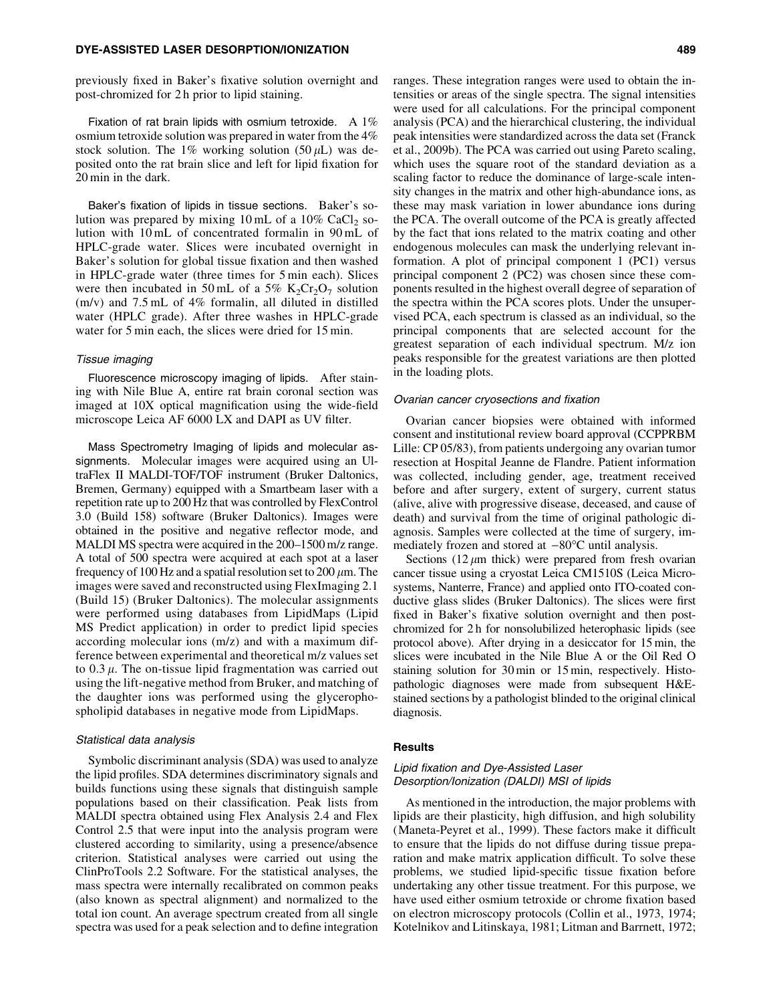previously fixed in Baker's fixative solution overnight and post-chromized for 2 h prior to lipid staining.

Fixation of rat brain lipids with osmium tetroxide. A 1% osmium tetroxide solution was prepared in water from the 4% stock solution. The 1% working solution  $(50 \,\mu L)$  was deposited onto the rat brain slice and left for lipid fixation for 20 min in the dark.

Baker's fixation of lipids in tissue sections. Baker's solution was prepared by mixing 10 mL of a  $10\%$  CaCl<sub>2</sub> solution with 10 mL of concentrated formalin in 90 mL of HPLC-grade water. Slices were incubated overnight in Baker's solution for global tissue fixation and then washed in HPLC-grade water (three times for 5 min each). Slices were then incubated in 50 mL of a 5%  $K_2Cr_2O_7$  solution (m/v) and 7.5 mL of 4% formalin, all diluted in distilled water (HPLC grade). After three washes in HPLC-grade water for 5 min each, the slices were dried for 15 min.

# Tissue imaging

Fluorescence microscopy imaging of lipids. After staining with Nile Blue A, entire rat brain coronal section was imaged at 10X optical magnification using the wide-field microscope Leica AF 6000 LX and DAPI as UV filter.

Mass Spectrometry Imaging of lipids and molecular assignments. Molecular images were acquired using an UltraFlex II MALDI-TOF/TOF instrument (Bruker Daltonics, Bremen, Germany) equipped with a Smartbeam laser with a repetition rate up to 200 Hz that was controlled by FlexControl 3.0 (Build 158) software (Bruker Daltonics). Images were obtained in the positive and negative reflector mode, and MALDI MS spectra were acquired in the 200–1500 m/z range. A total of 500 spectra were acquired at each spot at a laser frequency of 100 Hz and a spatial resolution set to 200  $\mu$ m. The images were saved and reconstructed using FlexImaging 2.1 (Build 15) (Bruker Daltonics). The molecular assignments were performed using databases from LipidMaps (Lipid MS Predict application) in order to predict lipid species according molecular ions (m/z) and with a maximum difference between experimental and theoretical m/z values set to  $0.3 \mu$ . The on-tissue lipid fragmentation was carried out using the lift-negative method from Bruker, and matching of the daughter ions was performed using the glycerophospholipid databases in negative mode from LipidMaps.

#### Statistical data analysis

Symbolic discriminant analysis (SDA) was used to analyze the lipid profiles. SDA determines discriminatory signals and builds functions using these signals that distinguish sample populations based on their classification. Peak lists from MALDI spectra obtained using Flex Analysis 2.4 and Flex Control 2.5 that were input into the analysis program were clustered according to similarity, using a presence/absence criterion. Statistical analyses were carried out using the ClinProTools 2.2 Software. For the statistical analyses, the mass spectra were internally recalibrated on common peaks (also known as spectral alignment) and normalized to the total ion count. An average spectrum created from all single spectra was used for a peak selection and to define integration

ranges. These integration ranges were used to obtain the intensities or areas of the single spectra. The signal intensities were used for all calculations. For the principal component analysis (PCA) and the hierarchical clustering, the individual peak intensities were standardized across the data set (Franck et al., 2009b). The PCA was carried out using Pareto scaling, which uses the square root of the standard deviation as a scaling factor to reduce the dominance of large-scale intensity changes in the matrix and other high-abundance ions, as these may mask variation in lower abundance ions during the PCA. The overall outcome of the PCA is greatly affected by the fact that ions related to the matrix coating and other endogenous molecules can mask the underlying relevant information. A plot of principal component 1 (PC1) versus principal component 2 (PC2) was chosen since these components resulted in the highest overall degree of separation of the spectra within the PCA scores plots. Under the unsupervised PCA, each spectrum is classed as an individual, so the principal components that are selected account for the greatest separation of each individual spectrum. M/z ion peaks responsible for the greatest variations are then plotted in the loading plots.

#### Ovarian cancer cryosections and fixation

Ovarian cancer biopsies were obtained with informed consent and institutional review board approval (CCPPRBM Lille: CP 05/83), from patients undergoing any ovarian tumor resection at Hospital Jeanne de Flandre. Patient information was collected, including gender, age, treatment received before and after surgery, extent of surgery, current status (alive, alive with progressive disease, deceased, and cause of death) and survival from the time of original pathologic diagnosis. Samples were collected at the time of surgery, immediately frozen and stored at  $-80^{\circ}$ C until analysis.

Sections  $(12 \mu m)$  thick) were prepared from fresh ovarian cancer tissue using a cryostat Leica CM1510S (Leica Microsystems, Nanterre, France) and applied onto ITO-coated conductive glass slides (Bruker Daltonics). The slices were first fixed in Baker's fixative solution overnight and then postchromized for 2 h for nonsolubilized heterophasic lipids (see protocol above). After drying in a desiccator for 15 min, the slices were incubated in the Nile Blue A or the Oil Red O staining solution for 30 min or 15 min, respectively. Histopathologic diagnoses were made from subsequent H&Estained sections by a pathologist blinded to the original clinical diagnosis.

## Results

# Lipid fixation and Dye-Assisted Laser Desorption/Ionization (DALDI) MSI of lipids

As mentioned in the introduction, the major problems with lipids are their plasticity, high diffusion, and high solubility (Maneta-Peyret et al., 1999). These factors make it difficult to ensure that the lipids do not diffuse during tissue preparation and make matrix application difficult. To solve these problems, we studied lipid-specific tissue fixation before undertaking any other tissue treatment. For this purpose, we have used either osmium tetroxide or chrome fixation based on electron microscopy protocols (Collin et al., 1973, 1974; Kotelnikov and Litinskaya, 1981; Litman and Barrnett, 1972;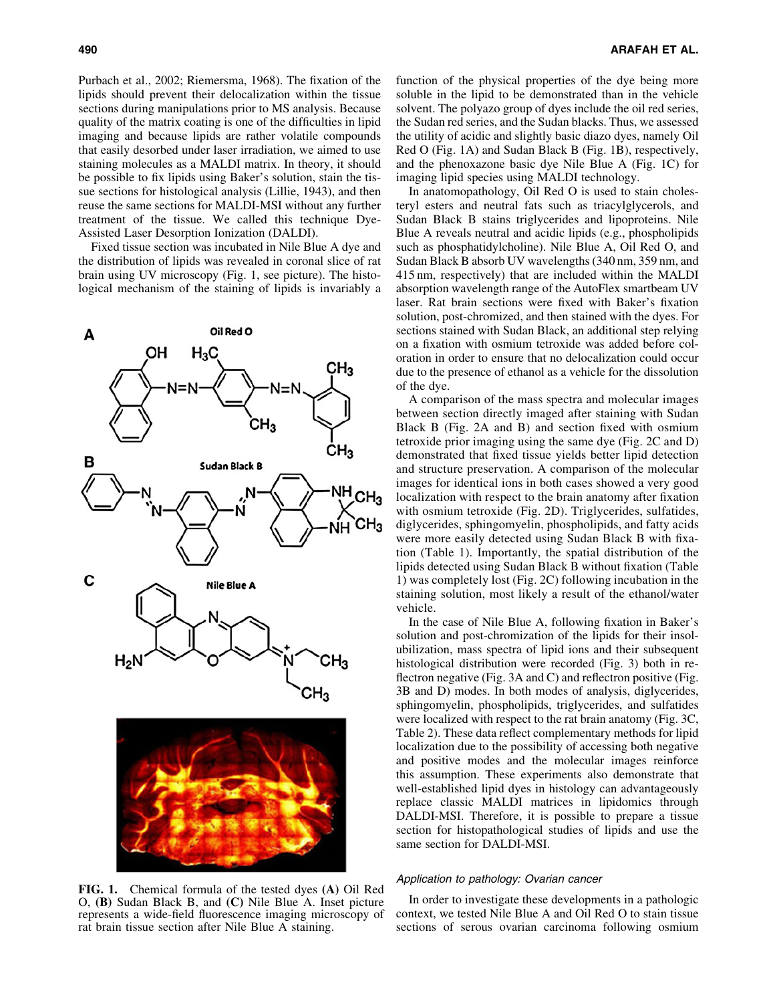Purbach et al., 2002; Riemersma, 1968). The fixation of the lipids should prevent their delocalization within the tissue sections during manipulations prior to MS analysis. Because quality of the matrix coating is one of the difficulties in lipid imaging and because lipids are rather volatile compounds that easily desorbed under laser irradiation, we aimed to use staining molecules as a MALDI matrix. In theory, it should be possible to fix lipids using Baker's solution, stain the tissue sections for histological analysis (Lillie, 1943), and then reuse the same sections for MALDI-MSI without any further treatment of the tissue. We called this technique Dye-Assisted Laser Desorption Ionization (DALDI).

Fixed tissue section was incubated in Nile Blue A dye and the distribution of lipids was revealed in coronal slice of rat brain using UV microscopy (Fig. 1, see picture). The histological mechanism of the staining of lipids is invariably a





FIG. 1. Chemical formula of the tested dyes (A) Oil Red O, (B) Sudan Black B, and (C) Nile Blue A. Inset picture represents a wide-field fluorescence imaging microscopy of rat brain tissue section after Nile Blue A staining.

function of the physical properties of the dye being more soluble in the lipid to be demonstrated than in the vehicle solvent. The polyazo group of dyes include the oil red series, the Sudan red series, and the Sudan blacks. Thus, we assessed the utility of acidic and slightly basic diazo dyes, namely Oil Red O (Fig. 1A) and Sudan Black B (Fig. 1B), respectively, and the phenoxazone basic dye Nile Blue A (Fig. 1C) for imaging lipid species using MALDI technology.

In anatomopathology, Oil Red O is used to stain cholesteryl esters and neutral fats such as triacylglycerols, and Sudan Black B stains triglycerides and lipoproteins. Nile Blue A reveals neutral and acidic lipids (e.g., phospholipids such as phosphatidylcholine). Nile Blue A, Oil Red O, and Sudan Black B absorb UV wavelengths (340 nm, 359 nm, and 415 nm, respectively) that are included within the MALDI absorption wavelength range of the AutoFlex smartbeam UV laser. Rat brain sections were fixed with Baker's fixation solution, post-chromized, and then stained with the dyes. For sections stained with Sudan Black, an additional step relying on a fixation with osmium tetroxide was added before coloration in order to ensure that no delocalization could occur due to the presence of ethanol as a vehicle for the dissolution of the dye.

A comparison of the mass spectra and molecular images between section directly imaged after staining with Sudan Black B (Fig. 2A and B) and section fixed with osmium tetroxide prior imaging using the same dye (Fig. 2C and D) demonstrated that fixed tissue yields better lipid detection and structure preservation. A comparison of the molecular images for identical ions in both cases showed a very good localization with respect to the brain anatomy after fixation with osmium tetroxide (Fig. 2D). Triglycerides, sulfatides, diglycerides, sphingomyelin, phospholipids, and fatty acids were more easily detected using Sudan Black B with fixation (Table 1). Importantly, the spatial distribution of the lipids detected using Sudan Black B without fixation (Table 1) was completely lost (Fig. 2C) following incubation in the staining solution, most likely a result of the ethanol/water vehicle.

In the case of Nile Blue A, following fixation in Baker's solution and post-chromization of the lipids for their insolubilization, mass spectra of lipid ions and their subsequent histological distribution were recorded (Fig. 3) both in reflectron negative (Fig. 3A and C) and reflectron positive (Fig. 3B and D) modes. In both modes of analysis, diglycerides, sphingomyelin, phospholipids, triglycerides, and sulfatides were localized with respect to the rat brain anatomy (Fig. 3C, Table 2). These data reflect complementary methods for lipid localization due to the possibility of accessing both negative and positive modes and the molecular images reinforce this assumption. These experiments also demonstrate that well-established lipid dyes in histology can advantageously replace classic MALDI matrices in lipidomics through DALDI-MSI. Therefore, it is possible to prepare a tissue section for histopathological studies of lipids and use the same section for DALDI-MSI.

# Application to pathology: Ovarian cancer

In order to investigate these developments in a pathologic context, we tested Nile Blue A and Oil Red O to stain tissue sections of serous ovarian carcinoma following osmium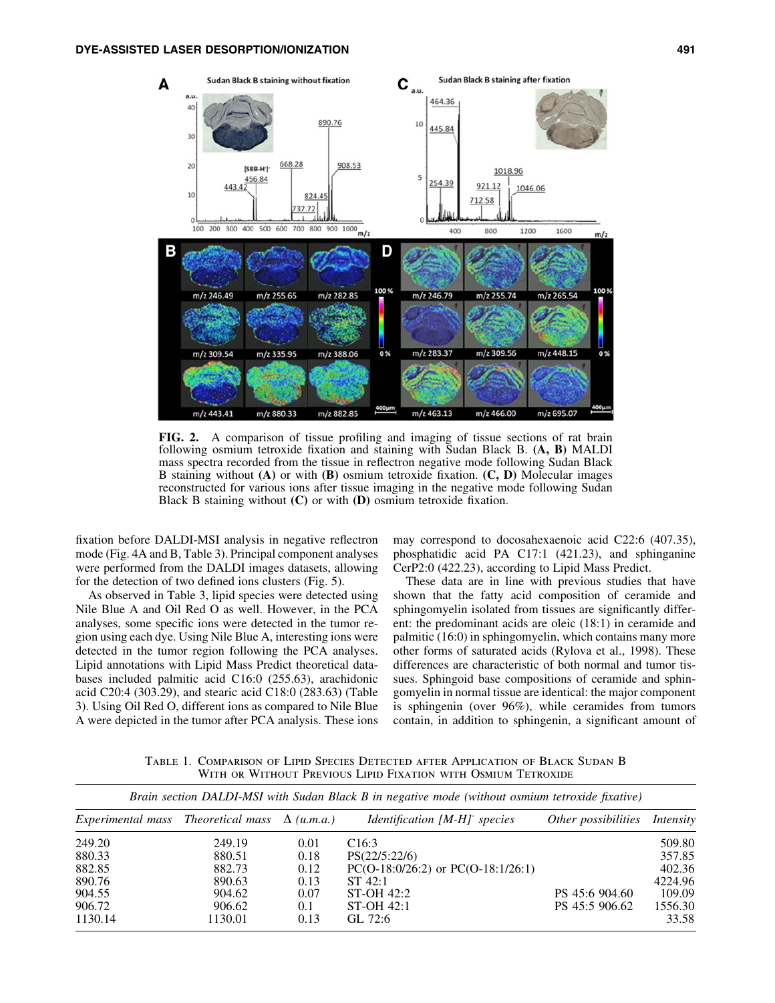

FIG. 2. A comparison of tissue profiling and imaging of tissue sections of rat brain following osmium tetroxide fixation and staining with Sudan Black B. (A, B) MALDI mass spectra recorded from the tissue in reflectron negative mode following Sudan Black B staining without (A) or with (B) osmium tetroxide fixation. (C, D) Molecular images reconstructed for various ions after tissue imaging in the negative mode following Sudan Black B staining without  $(C)$  or with  $(D)$  osmium tetroxide fixation.

fixation before DALDI-MSI analysis in negative reflectron mode (Fig. 4A and B, Table 3). Principal component analyses were performed from the DALDI images datasets, allowing for the detection of two defined ions clusters (Fig. 5).

As observed in Table 3, lipid species were detected using Nile Blue A and Oil Red O as well. However, in the PCA analyses, some specific ions were detected in the tumor region using each dye. Using Nile Blue A, interesting ions were detected in the tumor region following the PCA analyses. Lipid annotations with Lipid Mass Predict theoretical databases included palmitic acid C16:0 (255.63), arachidonic acid C20:4 (303.29), and stearic acid C18:0 (283.63) (Table 3). Using Oil Red O, different ions as compared to Nile Blue A were depicted in the tumor after PCA analysis. These ions may correspond to docosahexaenoic acid C22:6 (407.35), phosphatidic acid PA C17:1 (421.23), and sphinganine CerP2:0 (422.23), according to Lipid Mass Predict.

These data are in line with previous studies that have shown that the fatty acid composition of ceramide and sphingomyelin isolated from tissues are significantly different: the predominant acids are oleic (18:1) in ceramide and palmitic (16:0) in sphingomyelin, which contains many more other forms of saturated acids (Rylova et al., 1998). These differences are characteristic of both normal and tumor tissues. Sphingoid base compositions of ceramide and sphingomyelin in normal tissue are identical: the major component is sphingenin (over 96%), while ceramides from tumors contain, in addition to sphingenin, a significant amount of

Table 1. Comparison of Lipid Species Detected after Application of Black Sudan B WITH OR WITHOUT PREVIOUS LIPID FIXATION WITH OSMIUM TETROXIDE

| Brain section DALDI-MSI with Sudan Black B in negative mode (without osmium tetroxide fixative) |         |      |                                              |                     |           |  |
|-------------------------------------------------------------------------------------------------|---------|------|----------------------------------------------|---------------------|-----------|--|
| Experimental mass Theoretical mass $\Delta$ (u.m.a.)                                            |         |      | <i>Identification</i> $[M-H]$ <i>species</i> | Other possibilities | Intensity |  |
| 249.20                                                                                          | 249.19  | 0.01 | C16:3                                        |                     | 509.80    |  |
| 880.33                                                                                          | 880.51  | 0.18 | PS(22/5:22/6)                                |                     | 357.85    |  |
| 882.85                                                                                          | 882.73  | 0.12 | $PC(O-18:0/26:2)$ or $PC(O-18:1/26:1)$       |                     | 402.36    |  |
| 890.76                                                                                          | 890.63  | 0.13 | ST 42:1                                      |                     | 4224.96   |  |
| 904.55                                                                                          | 904.62  | 0.07 | $ST-OH$ 42:2                                 | PS 45:6 904.60      | 109.09    |  |
| 906.72                                                                                          | 906.62  | 0.1  | ST-OH 42:1                                   | PS 45:5 906.62      | 1556.30   |  |
| 1130.14                                                                                         | 1130.01 | 0.13 | GL 72:6                                      |                     | 33.58     |  |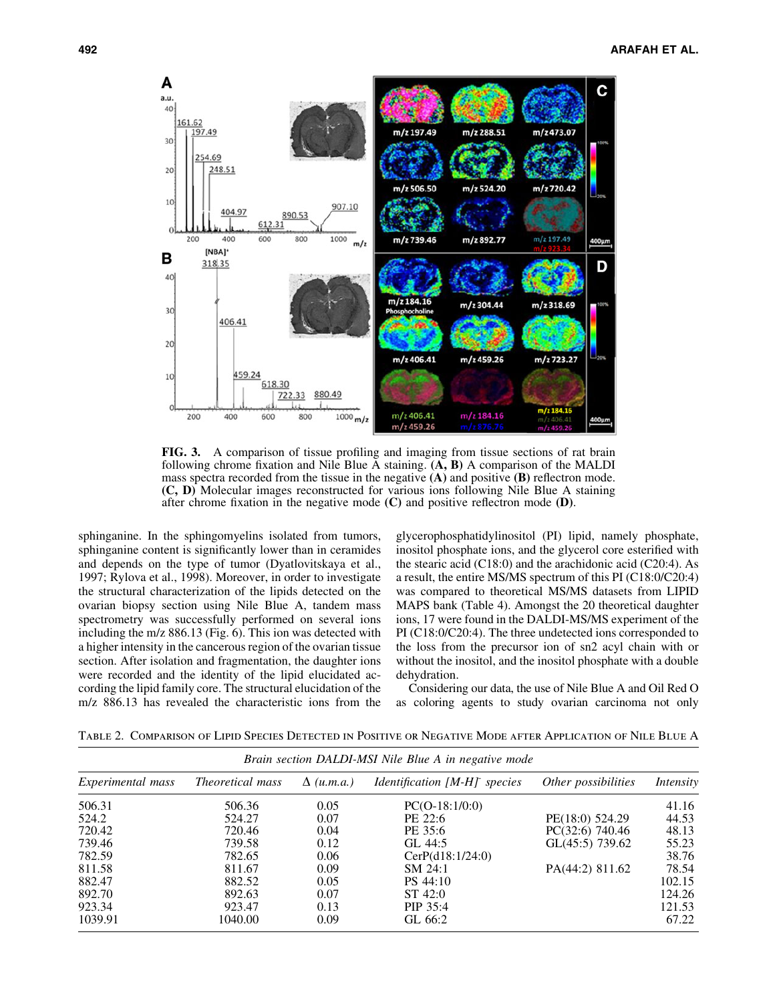

FIG. 3. A comparison of tissue profiling and imaging from tissue sections of rat brain following chrome fixation and Nile Blue A staining. (A, B) A comparison of the MALDI mass spectra recorded from the tissue in the negative  $(A)$  and positive  $(B)$  reflectron mode. (C, D) Molecular images reconstructed for various ions following Nile Blue A staining after chrome fixation in the negative mode  $(C)$  and positive reflectron mode  $(D)$ .

sphinganine. In the sphingomyelins isolated from tumors, sphinganine content is significantly lower than in ceramides and depends on the type of tumor (Dyatlovitskaya et al., 1997; Rylova et al., 1998). Moreover, in order to investigate the structural characterization of the lipids detected on the ovarian biopsy section using Nile Blue A, tandem mass spectrometry was successfully performed on several ions including the m/z 886.13 (Fig. 6). This ion was detected with a higher intensity in the cancerous region of the ovarian tissue section. After isolation and fragmentation, the daughter ions were recorded and the identity of the lipid elucidated according the lipid family core. The structural elucidation of the m/z 886.13 has revealed the characteristic ions from the glycerophosphatidylinositol (PI) lipid, namely phosphate, inositol phosphate ions, and the glycerol core esterified with the stearic acid  $(C18:0)$  and the arachidonic acid  $(C20:4)$ . As a result, the entire MS/MS spectrum of this PI (C18:0/C20:4) was compared to theoretical MS/MS datasets from LIPID MAPS bank (Table 4). Amongst the 20 theoretical daughter ions, 17 were found in the DALDI-MS/MS experiment of the PI (C18:0/C20:4). The three undetected ions corresponded to the loss from the precursor ion of sn2 acyl chain with or without the inositol, and the inositol phosphate with a double dehydration.

Considering our data, the use of Nile Blue A and Oil Red O as coloring agents to study ovarian carcinoma not only

Table 2. Comparison of Lipid Species Detected in Positive or Negative Mode after Application of Nile Blue A

| Brain section DALDI-MSI Nile Blue A in negative mode |                         |                   |                                                    |                     |           |  |  |
|------------------------------------------------------|-------------------------|-------------------|----------------------------------------------------|---------------------|-----------|--|--|
| Experimental mass                                    | <i>Theoretical mass</i> | $\Delta$ (u.m.a.) | <i>Identification</i> $[M-H]$ <sup>-</sup> species | Other possibilities | Intensity |  |  |
| 506.31                                               | 506.36                  | 0.05              | $PC(O-18:1/0:0)$                                   |                     | 41.16     |  |  |
| 524.2                                                | 524.27                  | 0.07              | PE 22:6                                            | PE(18:0) 524.29     | 44.53     |  |  |
| 720.42                                               | 720.46                  | 0.04              | PE 35:6                                            | $PC(32:6)$ 740.46   | 48.13     |  |  |
| 739.46                                               | 739.58                  | 0.12              | GL 44:5                                            | GL(45:5) 739.62     | 55.23     |  |  |
| 782.59                                               | 782.65                  | 0.06              | CerP(d18:1/24:0)                                   |                     | 38.76     |  |  |
| 811.58                                               | 811.67                  | 0.09              | SM 24:1                                            | PA(44:2) 811.62     | 78.54     |  |  |
| 882.47                                               | 882.52                  | 0.05              | PS 44:10                                           |                     | 102.15    |  |  |
| 892.70                                               | 892.63                  | 0.07              | ST 42:0                                            |                     | 124.26    |  |  |
| 923.34                                               | 923.47                  | 0.13              | PIP 35:4                                           |                     | 121.53    |  |  |
| 1039.91                                              | 1040.00                 | 0.09              | GL 66:2                                            |                     | 67.22     |  |  |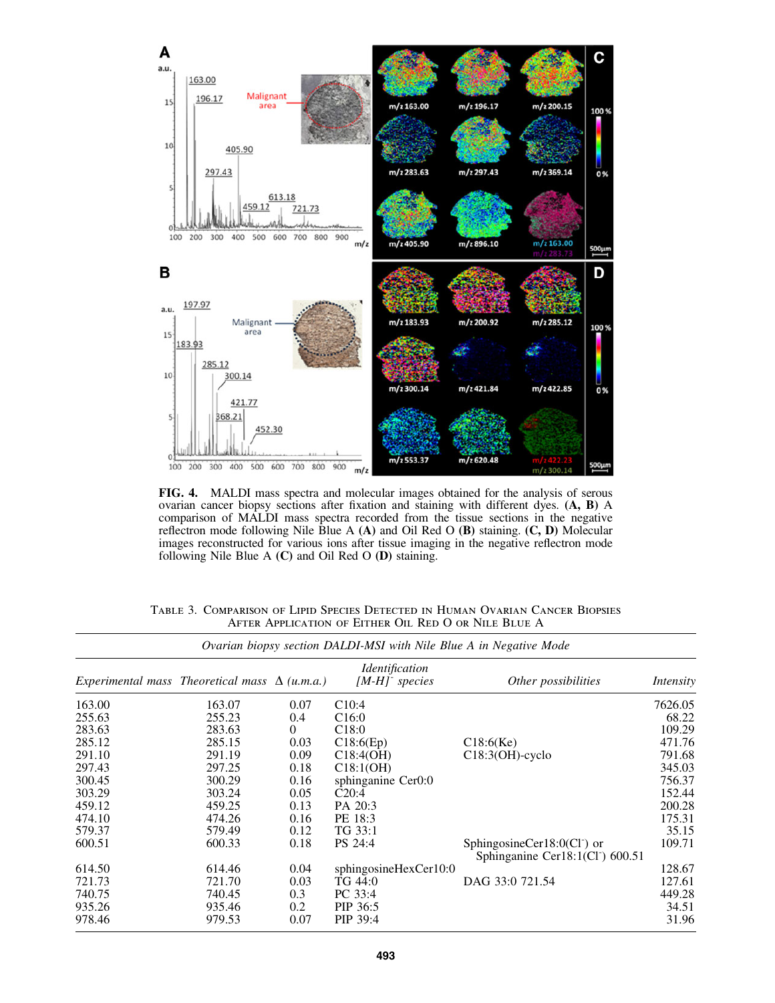

FIG. 4. MALDI mass spectra and molecular images obtained for the analysis of serous ovarian cancer biopsy sections after fixation and staining with different dyes. (A, B) A comparison of MALDI mass spectra recorded from the tissue sections in the negative reflectron mode following Nile Blue A (A) and Oil Red O (B) staining. (C, D) Molecular images reconstructed for various ions after tissue imaging in the negative reflectron mode following Nile Blue A  $(C)$  and Oil Red O  $(D)$  staining.

| Ovarian biopsy section DALDI-MSI with Nile Blue A in Negative Mode |        |          |                                                        |                                                                                               |           |  |
|--------------------------------------------------------------------|--------|----------|--------------------------------------------------------|-----------------------------------------------------------------------------------------------|-----------|--|
| Experimental mass Theoretical mass $\Delta$ (u.m.a.)               |        |          | <i><u><b>Identification</b></u></i><br>$[M-H]$ species | Other possibilities                                                                           | Intensity |  |
| 163.00                                                             | 163.07 | 0.07     | C10:4                                                  |                                                                                               | 7626.05   |  |
| 255.63                                                             | 255.23 | 0.4      | C16:0                                                  |                                                                                               | 68.22     |  |
| 283.63                                                             | 283.63 | $\Omega$ | C18:0                                                  |                                                                                               | 109.29    |  |
| 285.12                                                             | 285.15 | 0.03     | C18:6(Ep)                                              | C18:6(Ke)                                                                                     | 471.76    |  |
| 291.10                                                             | 291.19 | 0.09     | C18:4(OH)                                              | $C18:3(OH)$ -cyclo                                                                            | 791.68    |  |
| 297.43                                                             | 297.25 | 0.18     | C18:1(OH)                                              |                                                                                               | 345.03    |  |
| 300.45                                                             | 300.29 | 0.16     | sphinganine Cer0:0                                     |                                                                                               | 756.37    |  |
| 303.29                                                             | 303.24 | 0.05     | C20:4                                                  |                                                                                               | 152.44    |  |
| 459.12                                                             | 459.25 | 0.13     | PA 20:3                                                |                                                                                               | 200.28    |  |
| 474.10                                                             | 474.26 | 0.16     | PE 18:3                                                |                                                                                               | 175.31    |  |
| 579.37                                                             | 579.49 | 0.12     | TG 33:1                                                |                                                                                               | 35.15     |  |
| 600.51                                                             | 600.33 | 0.18     | PS 24:4                                                | SphingosineCer18: $0$ (Cl <sup>-</sup> ) or<br>Sphinganine Cer18:1(Cl <sup>-</sup> ) $600.51$ | 109.71    |  |
| 614.50                                                             | 614.46 | 0.04     | sphingosineHexCer10:0                                  |                                                                                               | 128.67    |  |
| 721.73                                                             | 721.70 | 0.03     | TG 44:0                                                | DAG 33:0 721.54                                                                               | 127.61    |  |
| 740.75                                                             | 740.45 | 0.3      | PC 33:4                                                |                                                                                               | 449.28    |  |
| 935.26                                                             | 935.46 | 0.2      | PIP 36:5                                               |                                                                                               | 34.51     |  |
| 978.46                                                             | 979.53 | 0.07     | PIP 39:4                                               |                                                                                               | 31.96     |  |

Table 3. Comparison of Lipid Species Detected in Human Ovarian Cancer Biopsies After Application of Either Oil Red O or Nile Blue A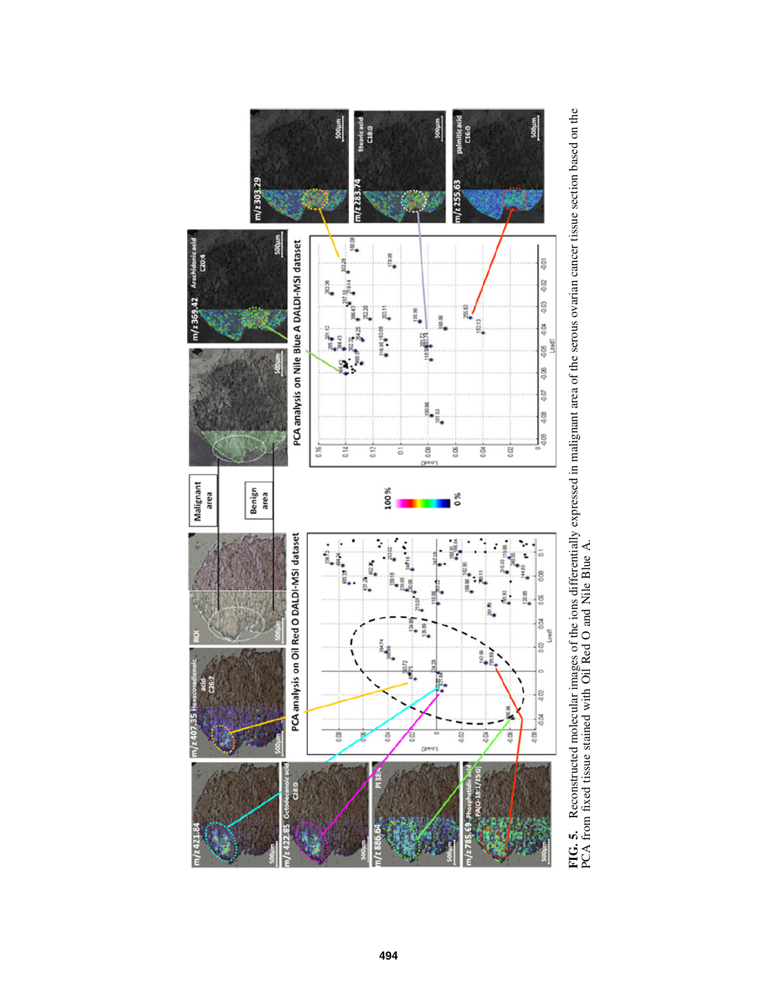

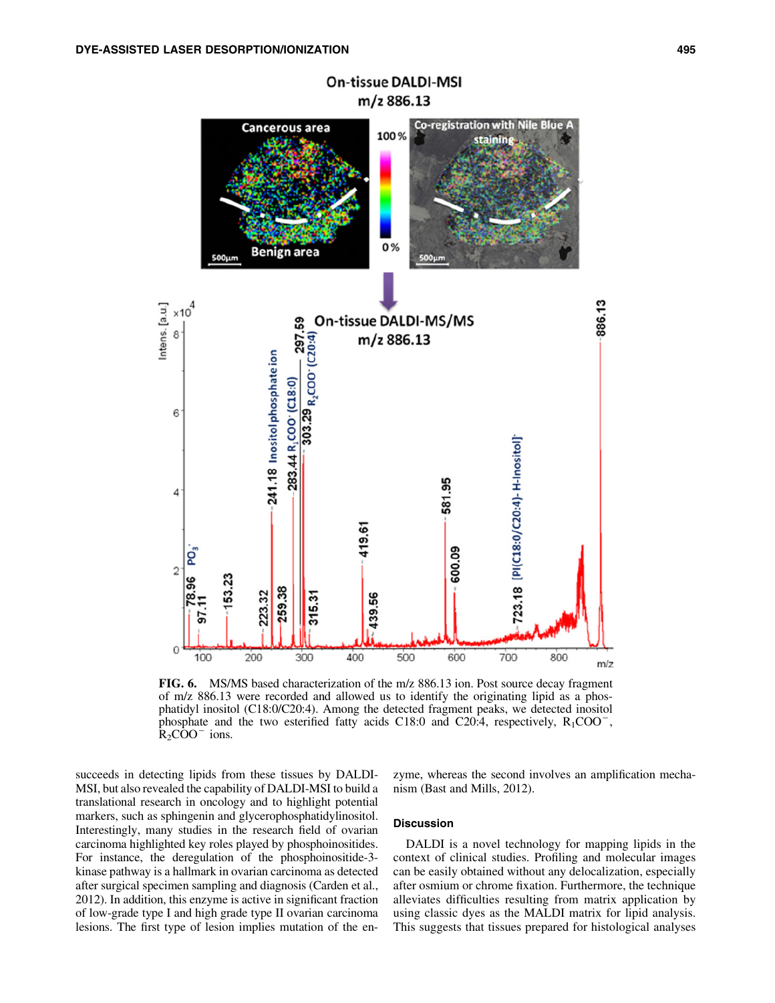

FIG. 6. MS/MS based characterization of the m/z 886.13 ion. Post source decay fragment of m/z 886.13 were recorded and allowed us to identify the originating lipid as a phosphatidyl inositol (C18:0/C20:4). Among the detected fragment peaks, we detected inositol phosphate and the two esterified fatty acids C18:0 and C20:4, respectively,  $R_1COO^-$ ,  $R_2$ COO $^-$  ions.

succeeds in detecting lipids from these tissues by DALDI-MSI, but also revealed the capability of DALDI-MSI to build a translational research in oncology and to highlight potential markers, such as sphingenin and glycerophosphatidylinositol. Interestingly, many studies in the research field of ovarian carcinoma highlighted key roles played by phosphoinositides. For instance, the deregulation of the phosphoinositide-3 kinase pathway is a hallmark in ovarian carcinoma as detected after surgical specimen sampling and diagnosis (Carden et al., 2012). In addition, this enzyme is active in significant fraction of low-grade type I and high grade type II ovarian carcinoma lesions. The first type of lesion implies mutation of the enzyme, whereas the second involves an amplification mechanism (Bast and Mills, 2012).

# **Discussion**

DALDI is a novel technology for mapping lipids in the context of clinical studies. Profiling and molecular images can be easily obtained without any delocalization, especially after osmium or chrome fixation. Furthermore, the technique alleviates difficulties resulting from matrix application by using classic dyes as the MALDI matrix for lipid analysis. This suggests that tissues prepared for histological analyses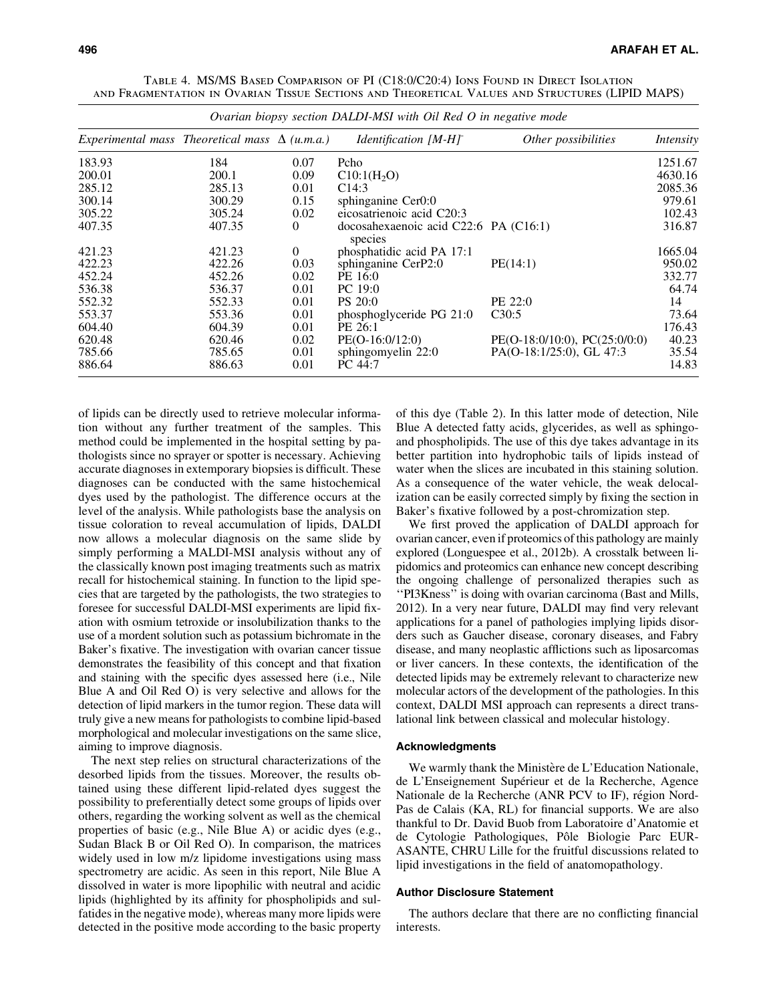| Ovarian biopsy section DALDI-MSI with Oil Red O in negative mode<br>Experimental mass Theoretical mass $\Delta$ (u.m.a.) |        |                |                                                  |                                    |           |  |
|--------------------------------------------------------------------------------------------------------------------------|--------|----------------|--------------------------------------------------|------------------------------------|-----------|--|
|                                                                                                                          |        |                | Identification $[M-H]$                           | Other possibilities                | Intensity |  |
| 183.93                                                                                                                   | 184    | 0.07           | Pcho                                             |                                    | 1251.67   |  |
| 200.01                                                                                                                   | 200.1  | 0.09           | Cl0:1(H <sub>2</sub> O)                          |                                    | 4630.16   |  |
| 285.12                                                                                                                   | 285.13 | 0.01           | C14:3                                            |                                    | 2085.36   |  |
| 300.14                                                                                                                   | 300.29 | 0.15           | sphinganine Cer0:0                               |                                    | 979.61    |  |
| 305.22                                                                                                                   | 305.24 | 0.02           | eicosatrienoic acid C20:3                        |                                    | 102.43    |  |
| 407.35                                                                                                                   | 407.35 | $\overline{0}$ | docosahexaenoic acid C22:6 PA (C16:1)<br>species |                                    | 316.87    |  |
| 421.23                                                                                                                   | 421.23 | $\theta$       | phosphatidic acid PA 17:1                        |                                    | 1665.04   |  |
| 422.23                                                                                                                   | 422.26 | 0.03           | sphinganine CerP2:0                              | PE(14:1)                           | 950.02    |  |
| 452.24                                                                                                                   | 452.26 | 0.02           | PE 16:0                                          |                                    | 332.77    |  |
| 536.38                                                                                                                   | 536.37 | 0.01           | PC 19:0                                          |                                    | 64.74     |  |
| 552.32                                                                                                                   | 552.33 | 0.01           | <b>PS 20:0</b>                                   | PE 22:0                            | 14        |  |
| 553.37                                                                                                                   | 553.36 | 0.01           | phosphoglyceride PG 21:0                         | C30:5                              | 73.64     |  |
| 604.40                                                                                                                   | 604.39 | 0.01           | PE 26:1                                          |                                    | 176.43    |  |
| 620.48                                                                                                                   | 620.46 | 0.02           | $PE(O-16:0/12:0)$                                | $PE(O-18:0/10:0)$ , $PC(25:0/0:0)$ | 40.23     |  |
| 785.66                                                                                                                   | 785.65 | 0.01           | sphingomyelin 22:0                               | PA(O-18:1/25:0), GL 47:3           | 35.54     |  |
| 886.64                                                                                                                   | 886.63 | 0.01           | PC 44:7                                          |                                    | 14.83     |  |

Table 4. MS/MS Based Comparison of PI (C18:0/C20:4) Ions Found in Direct Isolation and Fragmentation in Ovarian Tissue Sections and Theoretical Values and Structures (LIPID MAPS)

of lipids can be directly used to retrieve molecular information without any further treatment of the samples. This method could be implemented in the hospital setting by pathologists since no sprayer or spotter is necessary. Achieving accurate diagnoses in extemporary biopsies is difficult. These diagnoses can be conducted with the same histochemical dyes used by the pathologist. The difference occurs at the level of the analysis. While pathologists base the analysis on tissue coloration to reveal accumulation of lipids, DALDI now allows a molecular diagnosis on the same slide by simply performing a MALDI-MSI analysis without any of the classically known post imaging treatments such as matrix recall for histochemical staining. In function to the lipid species that are targeted by the pathologists, the two strategies to foresee for successful DALDI-MSI experiments are lipid fixation with osmium tetroxide or insolubilization thanks to the use of a mordent solution such as potassium bichromate in the Baker's fixative. The investigation with ovarian cancer tissue demonstrates the feasibility of this concept and that fixation and staining with the specific dyes assessed here (i.e., Nile Blue A and Oil Red O) is very selective and allows for the detection of lipid markers in the tumor region. These data will truly give a new means for pathologists to combine lipid-based morphological and molecular investigations on the same slice, aiming to improve diagnosis.

The next step relies on structural characterizations of the desorbed lipids from the tissues. Moreover, the results obtained using these different lipid-related dyes suggest the possibility to preferentially detect some groups of lipids over others, regarding the working solvent as well as the chemical properties of basic (e.g., Nile Blue A) or acidic dyes (e.g., Sudan Black B or Oil Red O). In comparison, the matrices widely used in low m/z lipidome investigations using mass spectrometry are acidic. As seen in this report, Nile Blue A dissolved in water is more lipophilic with neutral and acidic lipids (highlighted by its affinity for phospholipids and sulfatides in the negative mode), whereas many more lipids were detected in the positive mode according to the basic property

of this dye (Table 2). In this latter mode of detection, Nile Blue A detected fatty acids, glycerides, as well as sphingoand phospholipids. The use of this dye takes advantage in its better partition into hydrophobic tails of lipids instead of water when the slices are incubated in this staining solution. As a consequence of the water vehicle, the weak delocalization can be easily corrected simply by fixing the section in Baker's fixative followed by a post-chromization step.

We first proved the application of DALDI approach for ovarian cancer, even if proteomics of this pathology are mainly explored (Longuespee et al., 2012b). A crosstalk between lipidomics and proteomics can enhance new concept describing the ongoing challenge of personalized therapies such as ''PI3Kness'' is doing with ovarian carcinoma (Bast and Mills, 2012). In a very near future, DALDI may find very relevant applications for a panel of pathologies implying lipids disorders such as Gaucher disease, coronary diseases, and Fabry disease, and many neoplastic afflictions such as liposarcomas or liver cancers. In these contexts, the identification of the detected lipids may be extremely relevant to characterize new molecular actors of the development of the pathologies. In this context, DALDI MSI approach can represents a direct translational link between classical and molecular histology.

## Acknowledgments

We warmly thank the Ministère de L'Education Nationale, de L'Enseignement Supérieur et de la Recherche, Agence Nationale de la Recherche (ANR PCV to IF), région Nord-Pas de Calais (KA, RL) for financial supports. We are also thankful to Dr. David Buob from Laboratoire d'Anatomie et de Cytologie Pathologiques, Pôle Biologie Parc EUR-ASANTE, CHRU Lille for the fruitful discussions related to lipid investigations in the field of anatomopathology.

# Author Disclosure Statement

The authors declare that there are no conflicting financial interests.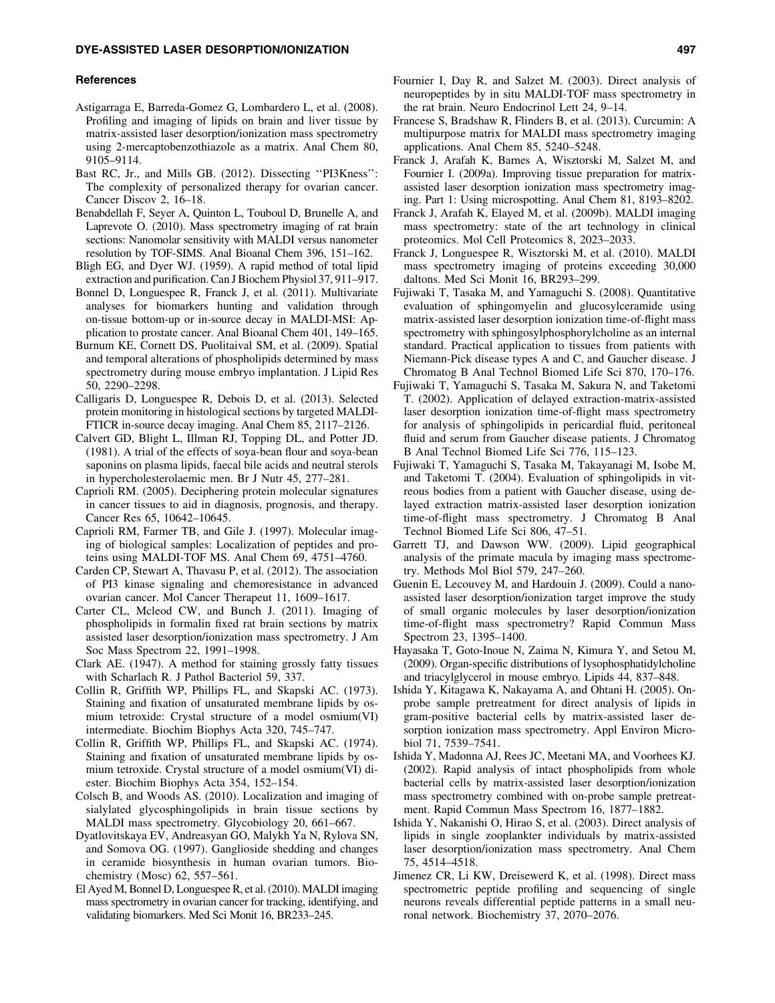#### **References**

- Astigarraga E, Barreda-Gomez G, Lombardero L, et al. (2008). Profiling and imaging of lipids on brain and liver tissue by matrix-assisted laser desorption/ionization mass spectrometry using 2-mercaptobenzothiazole as a matrix. Anal Chem 80, 9105–9114.
- Bast RC, Jr., and Mills GB. (2012). Dissecting ''PI3Kness'': The complexity of personalized therapy for ovarian cancer. Cancer Discov 2, 16–18.
- Benabdellah F, Seyer A, Quinton L, Touboul D, Brunelle A, and Laprevote O. (2010). Mass spectrometry imaging of rat brain sections: Nanomolar sensitivity with MALDI versus nanometer resolution by TOF-SIMS. Anal Bioanal Chem 396, 151–162.
- Bligh EG, and Dyer WJ. (1959). A rapid method of total lipid extraction and purification. Can J Biochem Physiol 37, 911–917.
- Bonnel D, Longuespee R, Franck J, et al. (2011). Multivariate analyses for biomarkers hunting and validation through on-tissue bottom-up or in-source decay in MALDI-MSI: Application to prostate cancer. Anal Bioanal Chem 401, 149–165.
- Burnum KE, Cornett DS, Puolitaival SM, et al. (2009). Spatial and temporal alterations of phospholipids determined by mass spectrometry during mouse embryo implantation. J Lipid Res 50, 2290–2298.
- Calligaris D, Longuespee R, Debois D, et al. (2013). Selected protein monitoring in histological sections by targeted MALDI-FTICR in-source decay imaging. Anal Chem 85, 2117–2126.
- Calvert GD, Blight L, Illman RJ, Topping DL, and Potter JD. (1981). A trial of the effects of soya-bean flour and soya-bean saponins on plasma lipids, faecal bile acids and neutral sterols in hypercholesterolaemic men. Br J Nutr 45, 277–281.
- Caprioli RM. (2005). Deciphering protein molecular signatures in cancer tissues to aid in diagnosis, prognosis, and therapy. Cancer Res 65, 10642–10645.
- Caprioli RM, Farmer TB, and Gile J. (1997). Molecular imaging of biological samples: Localization of peptides and proteins using MALDI-TOF MS. Anal Chem 69, 4751–4760.
- Carden CP, Stewart A, Thavasu P, et al. (2012). The association of PI3 kinase signaling and chemoresistance in advanced ovarian cancer. Mol Cancer Therapeut 11, 1609–1617.
- Carter CL, Mcleod CW, and Bunch J. (2011). Imaging of phospholipids in formalin fixed rat brain sections by matrix assisted laser desorption/ionization mass spectrometry. J Am Soc Mass Spectrom 22, 1991–1998.
- Clark AE. (1947). A method for staining grossly fatty tissues with Scharlach R. J Pathol Bacteriol 59, 337.
- Collin R, Griffith WP, Phillips FL, and Skapski AC. (1973). Staining and fixation of unsaturated membrane lipids by osmium tetroxide: Crystal structure of a model osmium(VI) intermediate. Biochim Biophys Acta 320, 745–747.
- Collin R, Griffith WP, Phillips FL, and Skapski AC. (1974). Staining and fixation of unsaturated membrane lipids by osmium tetroxide. Crystal structure of a model osmium(VI) diester. Biochim Biophys Acta 354, 152–154.
- Colsch B, and Woods AS. (2010). Localization and imaging of sialylated glycosphingolipids in brain tissue sections by MALDI mass spectrometry. Glycobiology 20, 661–667.
- Dyatlovitskaya EV, Andreasyan GO, Malykh Ya N, Rylova SN, and Somova OG. (1997). Ganglioside shedding and changes in ceramide biosynthesis in human ovarian tumors. Biochemistry (Mosc) 62, 557–561.
- El Ayed M, Bonnel D, Longuespee R, et al. (2010). MALDI imaging mass spectrometry in ovarian cancer for tracking, identifying, and validating biomarkers. Med Sci Monit 16, BR233–245.
- Fournier I, Day R, and Salzet M. (2003). Direct analysis of neuropeptides by in situ MALDI-TOF mass spectrometry in the rat brain. Neuro Endocrinol Lett 24, 9–14.
- Francese S, Bradshaw R, Flinders B, et al. (2013). Curcumin: A multipurpose matrix for MALDI mass spectrometry imaging applications. Anal Chem 85, 5240–5248.
- Franck J, Arafah K, Barnes A, Wisztorski M, Salzet M, and Fournier I. (2009a). Improving tissue preparation for matrixassisted laser desorption ionization mass spectrometry imaging. Part 1: Using microspotting. Anal Chem 81, 8193–8202.
- Franck J, Arafah K, Elayed M, et al. (2009b). MALDI imaging mass spectrometry: state of the art technology in clinical proteomics. Mol Cell Proteomics 8, 2023–2033.
- Franck J, Longuespee R, Wisztorski M, et al. (2010). MALDI mass spectrometry imaging of proteins exceeding 30,000 daltons. Med Sci Monit 16, BR293–299.
- Fujiwaki T, Tasaka M, and Yamaguchi S. (2008). Quantitative evaluation of sphingomyelin and glucosylceramide using matrix-assisted laser desorption ionization time-of-flight mass spectrometry with sphingosylphosphorylcholine as an internal standard. Practical application to tissues from patients with Niemann-Pick disease types A and C, and Gaucher disease. J Chromatog B Anal Technol Biomed Life Sci 870, 170–176.
- Fujiwaki T, Yamaguchi S, Tasaka M, Sakura N, and Taketomi T. (2002). Application of delayed extraction-matrix-assisted laser desorption ionization time-of-flight mass spectrometry for analysis of sphingolipids in pericardial fluid, peritoneal fluid and serum from Gaucher disease patients. J Chromatog B Anal Technol Biomed Life Sci 776, 115–123.
- Fujiwaki T, Yamaguchi S, Tasaka M, Takayanagi M, Isobe M, and Taketomi T. (2004). Evaluation of sphingolipids in vitreous bodies from a patient with Gaucher disease, using delayed extraction matrix-assisted laser desorption ionization time-of-flight mass spectrometry. J Chromatog B Anal Technol Biomed Life Sci 806, 47–51.
- Garrett TJ, and Dawson WW. (2009). Lipid geographical analysis of the primate macula by imaging mass spectrometry. Methods Mol Biol 579, 247–260.
- Guenin E, Lecouvey M, and Hardouin J. (2009). Could a nanoassisted laser desorption/ionization target improve the study of small organic molecules by laser desorption/ionization time-of-flight mass spectrometry? Rapid Commun Mass Spectrom 23, 1395–1400.
- Hayasaka T, Goto-Inoue N, Zaima N, Kimura Y, and Setou M, (2009). Organ-specific distributions of lysophosphatidylcholine and triacylglycerol in mouse embryo. Lipids 44, 837–848.
- Ishida Y, Kitagawa K, Nakayama A, and Ohtani H. (2005). Onprobe sample pretreatment for direct analysis of lipids in gram-positive bacterial cells by matrix-assisted laser desorption ionization mass spectrometry. Appl Environ Microbiol 71, 7539–7541.
- Ishida Y, Madonna AJ, Rees JC, Meetani MA, and Voorhees KJ. (2002). Rapid analysis of intact phospholipids from whole bacterial cells by matrix-assisted laser desorption/ionization mass spectrometry combined with on-probe sample pretreatment. Rapid Commun Mass Spectrom 16, 1877–1882.
- Ishida Y, Nakanishi O, Hirao S, et al. (2003). Direct analysis of lipids in single zooplankter individuals by matrix-assisted laser desorption/ionization mass spectrometry. Anal Chem 75, 4514–4518.
- Jimenez CR, Li KW, Dreisewerd K, et al. (1998). Direct mass spectrometric peptide profiling and sequencing of single neurons reveals differential peptide patterns in a small neuronal network. Biochemistry 37, 2070–2076.